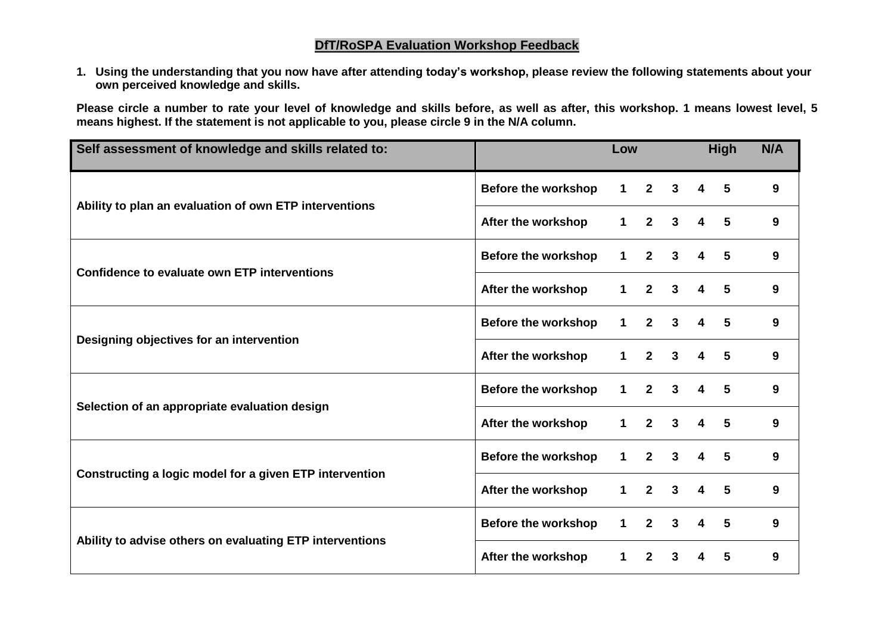## **DfT/RoSPA Evaluation Workshop Feedback**

**1. Using the understanding that you now have after attending today's workshop, please review the following statements about your own perceived knowledge and skills.** 

**Please circle a number to rate your level of knowledge and skills before, as well as after, this workshop. 1 means lowest level, 5 means highest. If the statement is not applicable to you, please circle 9 in the N/A column.**

| Self assessment of knowledge and skills related to:      |                            | Low            |                |              | <b>High</b>             |                 | N/A |
|----------------------------------------------------------|----------------------------|----------------|----------------|--------------|-------------------------|-----------------|-----|
| Ability to plan an evaluation of own ETP interventions   | <b>Before the workshop</b> | 1 <sup>1</sup> | $2^{\circ}$    | $\mathbf{3}$ | $\overline{\mathbf{4}}$ | $5\phantom{.0}$ | 9   |
|                                                          | After the workshop         | $\mathbf 1$    | $\overline{2}$ | $\mathbf{3}$ | 4                       | 5               | 9   |
| Confidence to evaluate own ETP interventions             | <b>Before the workshop</b> | $\mathbf 1$    | $\overline{2}$ | $\mathbf{3}$ | 4                       | 5               | 9   |
|                                                          | After the workshop         | $\mathbf 1$    | $\overline{2}$ | $\mathbf{3}$ | 4                       | 5               | 9   |
| Designing objectives for an intervention                 | <b>Before the workshop</b> | $\mathbf{1}$   | $\mathbf{2}$   | $\mathbf{3}$ | 4                       | 5               | 9   |
|                                                          | After the workshop         | 1              | $\overline{2}$ | $\mathbf{3}$ | 4                       | 5               | 9   |
| Selection of an appropriate evaluation design            | <b>Before the workshop</b> | $\mathbf 1$    | $\mathbf{2}$   | $\mathbf{3}$ | 4                       | 5               | 9   |
|                                                          | After the workshop         | $\mathbf 1$    | $\overline{2}$ | $\mathbf{3}$ | 4                       | 5               | 9   |
| Constructing a logic model for a given ETP intervention  | <b>Before the workshop</b> | 1              | $\mathbf{2}$   | $\mathbf{3}$ | 4                       | 5               | 9   |
|                                                          | After the workshop         | 1              | $\overline{2}$ | $\mathbf{3}$ | 4                       | 5               | 9   |
| Ability to advise others on evaluating ETP interventions | <b>Before the workshop</b> | $\overline{1}$ | $\overline{2}$ | $\mathbf{3}$ | 4                       | 5               | 9   |
|                                                          | After the workshop         | 1              | $\mathbf{2}$   | $\mathbf{3}$ | 4                       | 5               | 9   |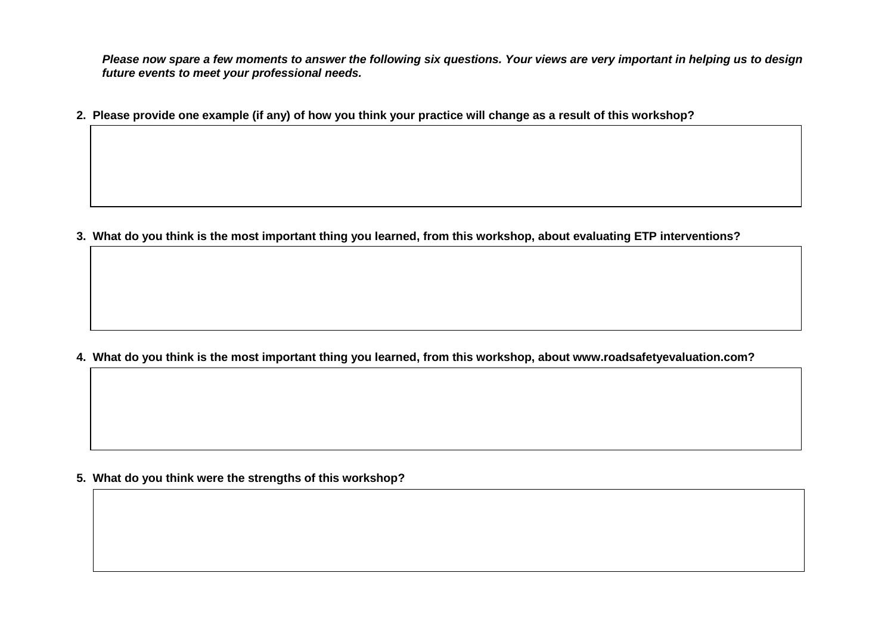*Please now spare a few moments to answer the following six questions. Your views are very important in helping us to design future events to meet your professional needs.*

**2. Please provide one example (if any) of how you think your practice will change as a result of this workshop?**

**3. What do you think is the most important thing you learned, from this workshop, about evaluating ETP interventions?** 

**4. What do you think is the most important thing you learned, from this workshop, about www.roadsafetyevaluation.com?** 

**5. What do you think were the strengths of this workshop?**